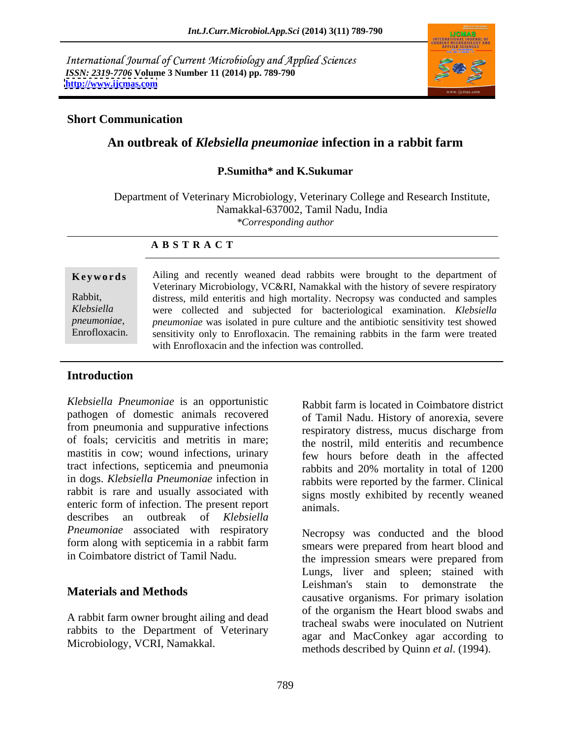International Journal of Current Microbiology and Applied Sciences *ISSN: 2319-7706* **Volume 3 Number 11 (2014) pp. 789-790 <http://www.ijcmas.com>**



### **Short Communication**

### **An outbreak of** *Klebsiella pneumoniae* **infection in a rabbit farm**

# **P.Sumitha\* and K.Sukumar**

Department of Veterinary Microbiology, Veterinary College and Research Institute, Namakkal-637002, Tamil Nadu, India *\*Corresponding author* 

### **A B S T R A C T**

**Keywords** Ailing and recently weaned dead rabbits were brought to the department of Rabbit, distress, mild enteritis and high mortality. Necropsy was conducted and samples *Klebsiella*  were collected and subjected for bacteriological examination. *Klebsiella pneumoniae, pneumoniae* was isolated in pure culture and the antibiotic sensitivity test showed Enrofloxacin. sensitivity only to Enrofloxacin. The remaining rabbits in the farm were treated Veterinary Microbiology, VC&RI, Namakkal with the history of severe respiratory with Enrofloxacin and the infection was controlled.

### **Introduction**

*Klebsiella Pneumoniae* is an opportunistic pathogen of domestic animals recovered from pneumonia and suppurative infections of foals; cervicitis and metritis in mare; mastitis in cow; wound infections, urinary tract infections, septicemia and pneumonia in dogs. *Klebsiella Pneumoniae* infection in rabbit is rare and usually associated with enteric form of infection. The present report animals. describes an outbreak of *Klebsiella Pneumoniae* associated with respiratory form along with septicemia in a rabbit farm

A rabbit farm owner brought ailing and dead rabbits to the Department of Veterinary Microbiology, VCRI, Namakkal.

Rabbit farm is located in Coimbatore district of Tamil Nadu. History of anorexia, severe respiratory distress, mucus discharge from the nostril, mild enteritis and recumbence few hours before death in the affected rabbits and 20% mortality in total of 1200 rabbits were reported by the farmer. Clinical signs mostly exhibited by recently weaned animals.

in Coimbatore district of Tamil Nadu. the impression smears were prepared from **Materials and Methods**<br>
causative organisms. For primary isolation Necropsy was conducted and the blood smears were prepared from heart blood and Lungs, liver and spleen; stained with Leishman's stain to demonstrate the of the organism the Heart blood swabs and tracheal swabs were inoculated on Nutrient agar and MacConkey agar according to methods described by Quinn *et al*. (1994).